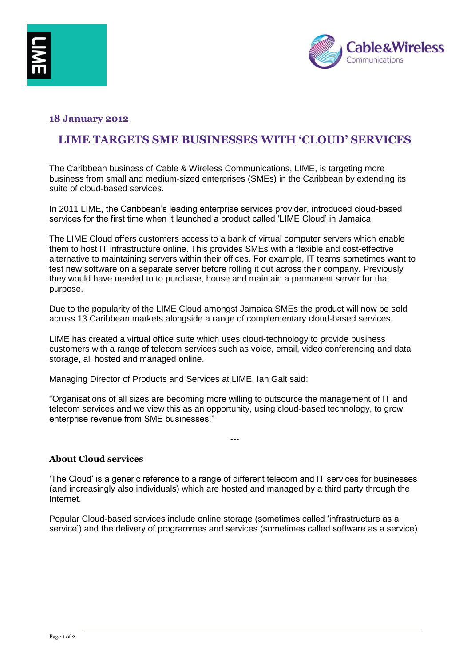



# **18 January 2012**

# **LIME TARGETS SME BUSINESSES WITH 'CLOUD' SERVICES**

The Caribbean business of Cable & Wireless Communications, LIME, is targeting more business from small and medium-sized enterprises (SMEs) in the Caribbean by extending its suite of cloud-based services.

In 2011 LIME, the Caribbean's leading enterprise services provider, introduced cloud-based services for the first time when it launched a product called 'LIME Cloud' in Jamaica.

The LIME Cloud offers customers access to a bank of virtual computer servers which enable them to host IT infrastructure online. This provides SMEs with a flexible and cost-effective alternative to maintaining servers within their offices. For example, IT teams sometimes want to test new software on a separate server before rolling it out across their company. Previously they would have needed to to purchase, house and maintain a permanent server for that purpose.

Due to the popularity of the LIME Cloud amongst Jamaica SMEs the product will now be sold across 13 Caribbean markets alongside a range of complementary cloud-based services.

LIME has created a virtual office suite which uses cloud-technology to provide business customers with a range of telecom services such as voice, email, video conferencing and data storage, all hosted and managed online.

Managing Director of Products and Services at LIME, Ian Galt said:

"Organisations of all sizes are becoming more willing to outsource the management of IT and telecom services and we view this as an opportunity, using cloud-based technology, to grow enterprise revenue from SME businesses."

### **About Cloud services**

'The Cloud' is a generic reference to a range of different telecom and IT services for businesses (and increasingly also individuals) which are hosted and managed by a third party through the Internet.

---

Popular Cloud-based services include online storage (sometimes called 'infrastructure as a service') and the delivery of programmes and services (sometimes called software as a service).